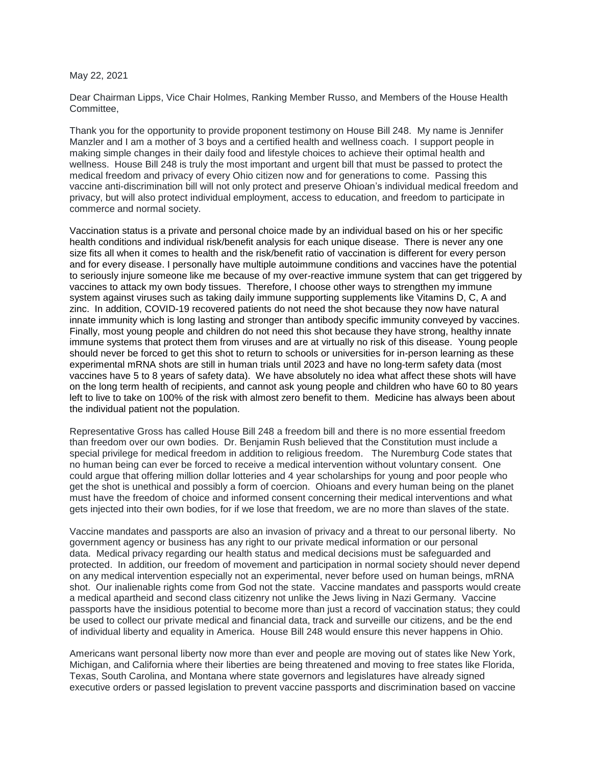## May 22, 2021

Dear Chairman Lipps, Vice Chair Holmes, Ranking Member Russo, and Members of the House Health **Committee** 

Thank you for the opportunity to provide proponent testimony on House Bill 248. My name is Jennifer Manzler and I am a mother of 3 boys and a certified health and wellness coach. I support people in making simple changes in their daily food and lifestyle choices to achieve their optimal health and wellness. House Bill 248 is truly the most important and urgent bill that must be passed to protect the medical freedom and privacy of every Ohio citizen now and for generations to come. Passing this vaccine anti-discrimination bill will not only protect and preserve Ohioan's individual medical freedom and privacy, but will also protect individual employment, access to education, and freedom to participate in commerce and normal society.

Vaccination status is a private and personal choice made by an individual based on his or her specific health conditions and individual risk/benefit analysis for each unique disease. There is never any one size fits all when it comes to health and the risk/benefit ratio of vaccination is different for every person and for every disease. I personally have multiple autoimmune conditions and vaccines have the potential to seriously injure someone like me because of my over-reactive immune system that can get triggered by vaccines to attack my own body tissues. Therefore, I choose other ways to strengthen my immune system against viruses such as taking daily immune supporting supplements like Vitamins D, C, A and zinc. In addition, COVID-19 recovered patients do not need the shot because they now have natural innate immunity which is long lasting and stronger than antibody specific immunity conveyed by vaccines. Finally, most young people and children do not need this shot because they have strong, healthy innate immune systems that protect them from viruses and are at virtually no risk of this disease. Young people should never be forced to get this shot to return to schools or universities for in-person learning as these experimental mRNA shots are still in human trials until 2023 and have no long-term safety data (most vaccines have 5 to 8 years of safety data). We have absolutely no idea what affect these shots will have on the long term health of recipients, and cannot ask young people and children who have 60 to 80 years left to live to take on 100% of the risk with almost zero benefit to them. Medicine has always been about the individual patient not the population.

Representative Gross has called House Bill 248 a freedom bill and there is no more essential freedom than freedom over our own bodies. Dr. Benjamin Rush believed that the Constitution must include a special privilege for medical freedom in addition to religious freedom. The Nuremburg Code states that no human being can ever be forced to receive a medical intervention without voluntary consent. One could argue that offering million dollar lotteries and 4 year scholarships for young and poor people who get the shot is unethical and possibly a form of coercion. Ohioans and every human being on the planet must have the freedom of choice and informed consent concerning their medical interventions and what gets injected into their own bodies, for if we lose that freedom, we are no more than slaves of the state.

Vaccine mandates and passports are also an invasion of privacy and a threat to our personal liberty. No government agency or business has any right to our private medical information or our personal data. Medical privacy regarding our health status and medical decisions must be safeguarded and protected. In addition, our freedom of movement and participation in normal society should never depend on any medical intervention especially not an experimental, never before used on human beings, mRNA shot. Our inalienable rights come from God not the state. Vaccine mandates and passports would create a medical apartheid and second class citizenry not unlike the Jews living in Nazi Germany. Vaccine passports have the insidious potential to become more than just a record of vaccination status; they could be used to collect our private medical and financial data, track and surveille our citizens, and be the end of individual liberty and equality in America. House Bill 248 would ensure this never happens in Ohio.

Americans want personal liberty now more than ever and people are moving out of states like New York, Michigan, and California where their liberties are being threatened and moving to free states like Florida, Texas, South Carolina, and Montana where state governors and legislatures have already signed executive orders or passed legislation to prevent vaccine passports and discrimination based on vaccine